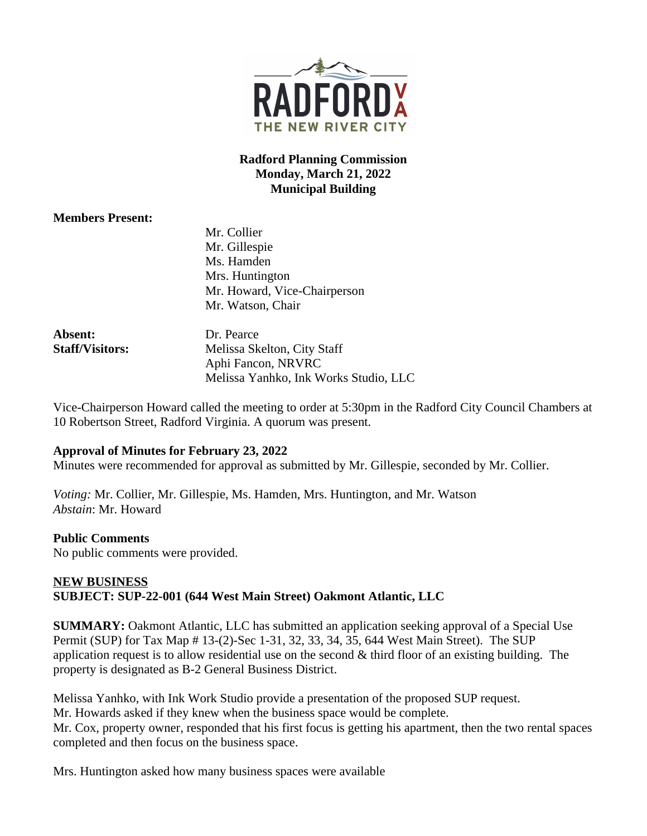

# **Radford Planning Commission Monday, March 21, 2022 Municipal Building**

### **Members Present:**

Mr. Collier Mr. Gillespie Ms. Hamden Mrs. Huntington Mr. Howard, Vice-Chairperson Mr. Watson, Chair

| Dr. Pearce                            |
|---------------------------------------|
| Melissa Skelton, City Staff           |
| Aphi Fancon, NRVRC                    |
| Melissa Yanhko, Ink Works Studio, LLC |
|                                       |

Vice-Chairperson Howard called the meeting to order at 5:30pm in the Radford City Council Chambers at 10 Robertson Street, Radford Virginia. A quorum was present.

#### **Approval of Minutes for February 23, 2022**

Minutes were recommended for approval as submitted by Mr. Gillespie, seconded by Mr. Collier.

*Voting:* Mr. Collier, Mr. Gillespie, Ms. Hamden, Mrs. Huntington, and Mr. Watson *Abstain*: Mr. Howard

#### **Public Comments**

No public comments were provided.

# **NEW BUSINESS SUBJECT: SUP-22-001 (644 West Main Street) Oakmont Atlantic, LLC**

**SUMMARY:** Oakmont Atlantic, LLC has submitted an application seeking approval of a Special Use Permit (SUP) for Tax Map # 13-(2)-Sec 1-31, 32, 33, 34, 35, 644 West Main Street). The SUP application request is to allow residential use on the second  $\&$  third floor of an existing building. The property is designated as B-2 General Business District.

Melissa Yanhko, with Ink Work Studio provide a presentation of the proposed SUP request. Mr. Howards asked if they knew when the business space would be complete. Mr. Cox, property owner, responded that his first focus is getting his apartment, then the two rental spaces completed and then focus on the business space.

Mrs. Huntington asked how many business spaces were available